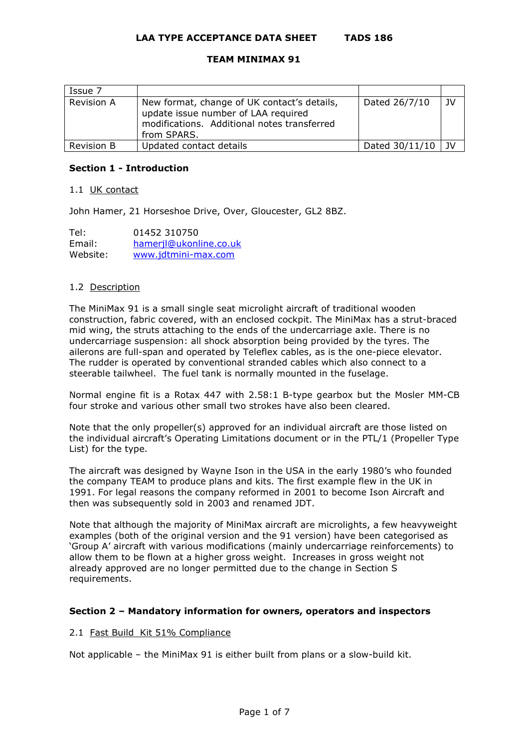# **LAA TYPE ACCEPTANCE DATA SHEET TADS 186**

## **TEAM MINIMAX 91**

| Issue 7           |                                                                                                                                                  |                |            |
|-------------------|--------------------------------------------------------------------------------------------------------------------------------------------------|----------------|------------|
| <b>Revision A</b> | New format, change of UK contact's details,<br>update issue number of LAA required<br>modifications. Additional notes transferred<br>from SPARS. | Dated 26/7/10  | - 1V       |
| <b>Revision B</b> | Updated contact details                                                                                                                          | Dated 30/11/10 | $\perp$ 1V |

## **Section 1 - Introduction**

#### 1.1 UK contact

John Hamer, 21 Horseshoe Drive, Over, Gloucester, GL2 8BZ.

| Tel:     | 01452 310750           |
|----------|------------------------|
| Email:   | hameril@ukonline.co.uk |
| Website: | www.jdtmini-max.com    |

### 1.2 Description

The MiniMax 91 is a small single seat microlight aircraft of traditional wooden construction, fabric covered, with an enclosed cockpit. The MiniMax has a strut-braced mid wing, the struts attaching to the ends of the undercarriage axle. There is no undercarriage suspension: all shock absorption being provided by the tyres. The ailerons are full-span and operated by Teleflex cables, as is the one-piece elevator. The rudder is operated by conventional stranded cables which also connect to a steerable tailwheel. The fuel tank is normally mounted in the fuselage.

Normal engine fit is a Rotax 447 with 2.58:1 B-type gearbox but the Mosler MM-CB four stroke and various other small two strokes have also been cleared.

Note that the only propeller(s) approved for an individual aircraft are those listed on the individual aircraft's Operating Limitations document or in the PTL/1 (Propeller Type List) for the type.

The aircraft was designed by Wayne Ison in the USA in the early 1980's who founded the company TEAM to produce plans and kits. The first example flew in the UK in 1991. For legal reasons the company reformed in 2001 to become Ison Aircraft and then was subsequently sold in 2003 and renamed JDT.

Note that although the majority of MiniMax aircraft are microlights, a few heavyweight examples (both of the original version and the 91 version) have been categorised as 'Group A' aircraft with various modifications (mainly undercarriage reinforcements) to allow them to be flown at a higher gross weight. Increases in gross weight not already approved are no longer permitted due to the change in Section S requirements.

# **Section 2 – Mandatory information for owners, operators and inspectors**

# 2.1 Fast Build Kit 51% Compliance

Not applicable – the MiniMax 91 is either built from plans or a slow-build kit.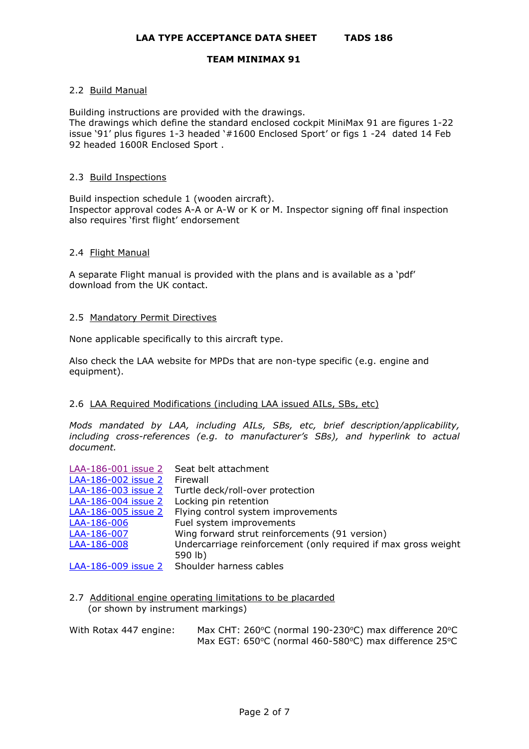## 2.2 Build Manual

Building instructions are provided with the drawings.

The drawings which define the standard enclosed cockpit MiniMax 91 are figures 1-22 issue '91' plus figures 1-3 headed '#1600 Enclosed Sport' or figs 1 -24 dated 14 Feb 92 headed 1600R Enclosed Sport .

## 2.3 Build Inspections

Build inspection schedule 1 (wooden aircraft). Inspector approval codes A-A or A-W or K or M. Inspector signing off final inspection also requires 'first flight' endorsement

### 2.4 Flight Manual

A separate Flight manual is provided with the plans and is available as a 'pdf' download from the UK contact.

### 2.5 Mandatory Permit Directives

None applicable specifically to this aircraft type.

Also check the LAA website for MPDs that are non-type specific (e.g. engine and equipment).

# 2.6 LAA Required Modifications (including LAA issued AILs, SBs, etc)

*Mods mandated by LAA, including AILs, SBs, etc, brief description/applicability, including cross-references (e.g. to manufacturer's SBs), and hyperlink to actual document.*

|                     | LAA-186-001 issue 2 Seat belt attachment                       |
|---------------------|----------------------------------------------------------------|
| LAA-186-002 issue 2 | Firewall                                                       |
| LAA-186-003 issue 2 | Turtle deck/roll-over protection                               |
| LAA-186-004 issue 2 | Locking pin retention                                          |
| LAA-186-005 issue 2 | Flying control system improvements                             |
| LAA-186-006         | Fuel system improvements                                       |
| LAA-186-007         | Wing forward strut reinforcements (91 version)                 |
| LAA-186-008         | Undercarriage reinforcement (only required if max gross weight |
|                     | 590 lb)                                                        |
|                     | LAA-186-009 issue 2 Shoulder harness cables                    |

- 2.7 Additional engine operating limitations to be placarded (or shown by instrument markings)
- With Rotax 447 engine: Max CHT: 260°C (normal 190-230°C) max difference 20°C Max EGT: 650°C (normal 460-580°C) max difference 25°C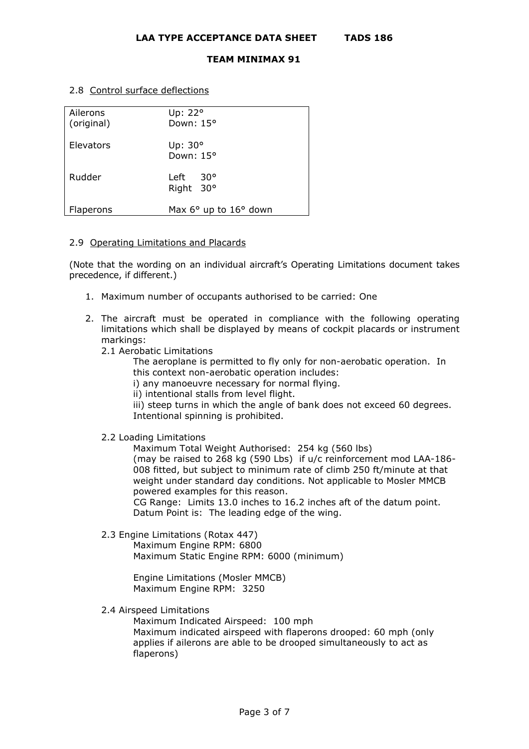2.8 Control surface deflections

| Ailerons<br>(original) | Up: 22°<br>Down: 15°              |
|------------------------|-----------------------------------|
| Elevators              | Up: $30^\circ$<br>Down: 15°       |
| Rudder                 | $30^{\circ}$<br>Left<br>Right 30° |
| Flaperons              | Max 6° up to 16° down             |

## 2.9 Operating Limitations and Placards

(Note that the wording on an individual aircraft's Operating Limitations document takes precedence, if different.)

- 1. Maximum number of occupants authorised to be carried: One
- 2. The aircraft must be operated in compliance with the following operating limitations which shall be displayed by means of cockpit placards or instrument markings:
	- 2.1 Aerobatic Limitations

The aeroplane is permitted to fly only for non-aerobatic operation. In this context non-aerobatic operation includes:

i) any manoeuvre necessary for normal flying.

ii) intentional stalls from level flight.

iii) steep turns in which the angle of bank does not exceed 60 degrees. Intentional spinning is prohibited.

2.2 Loading Limitations

Maximum Total Weight Authorised: 254 kg (560 lbs)

(may be raised to 268 kg (590 Lbs) if u/c reinforcement mod LAA-186- 008 fitted, but subject to minimum rate of climb 250 ft/minute at that weight under standard day conditions. Not applicable to Mosler MMCB powered examples for this reason.

CG Range: Limits 13.0 inches to 16.2 inches aft of the datum point. Datum Point is: The leading edge of the wing.

2.3 Engine Limitations (Rotax 447)

Maximum Engine RPM: 6800 Maximum Static Engine RPM: 6000 (minimum)

Engine Limitations (Mosler MMCB) Maximum Engine RPM: 3250

2.4 Airspeed Limitations

Maximum Indicated Airspeed: 100 mph

Maximum indicated airspeed with flaperons drooped: 60 mph (only applies if ailerons are able to be drooped simultaneously to act as flaperons)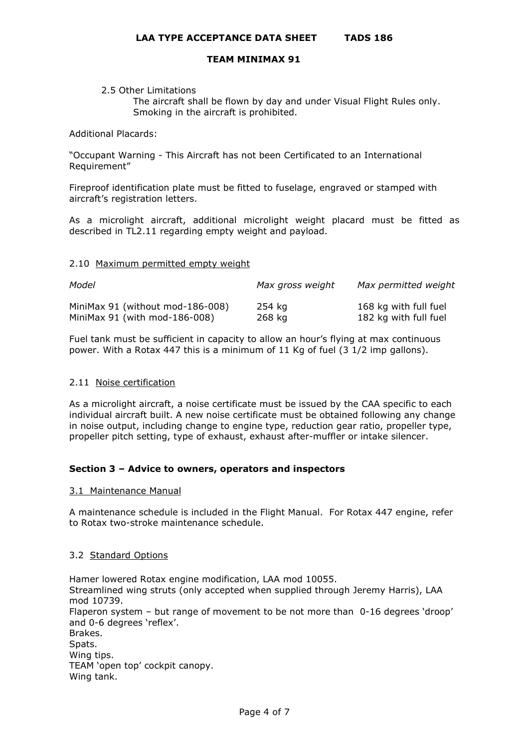#### 2.5 Other Limitations

The aircraft shall be flown by day and under Visual Flight Rules only. Smoking in the aircraft is prohibited.

#### Additional Placards:

"Occupant Warning - This Aircraft has not been Certificated to an International Requirement"

Fireproof identification plate must be fitted to fuselage, engraved or stamped with aircraft's registration letters.

As a microlight aircraft, additional microlight weight placard must be fitted as described in TL2.11 regarding empty weight and payload.

### 2.10 Maximum permitted empty weight

| Model                            | Max gross weight | Max permitted weight  |
|----------------------------------|------------------|-----------------------|
| MiniMax 91 (without mod-186-008) | 254 kg           | 168 kg with full fuel |
| MiniMax $91$ (with mod-186-008)  | 268 ka           | 182 kg with full fuel |

Fuel tank must be sufficient in capacity to allow an hour's flying at max continuous power. With a Rotax 447 this is a minimum of 11 Kg of fuel (3 1/2 imp gallons).

# 2.11 Noise certification

As a microlight aircraft, a noise certificate must be issued by the CAA specific to each individual aircraft built. A new noise certificate must be obtained following any change in noise output, including change to engine type, reduction gear ratio, propeller type, propeller pitch setting, type of exhaust, exhaust after-muffler or intake silencer.

# **Section 3 – Advice to owners, operators and inspectors**

#### 3.1 Maintenance Manual

A maintenance schedule is included in the Flight Manual. For Rotax 447 engine, refer to Rotax two-stroke maintenance schedule.

# 3.2 Standard Options

Hamer lowered Rotax engine modification, LAA mod 10055. Streamlined wing struts (only accepted when supplied through Jeremy Harris), LAA mod 10739. Flaperon system – but range of movement to be not more than 0-16 degrees 'droop' and 0-6 degrees 'reflex'. Brakes. Spats. Wing tips. TEAM 'open top' cockpit canopy. Wing tank.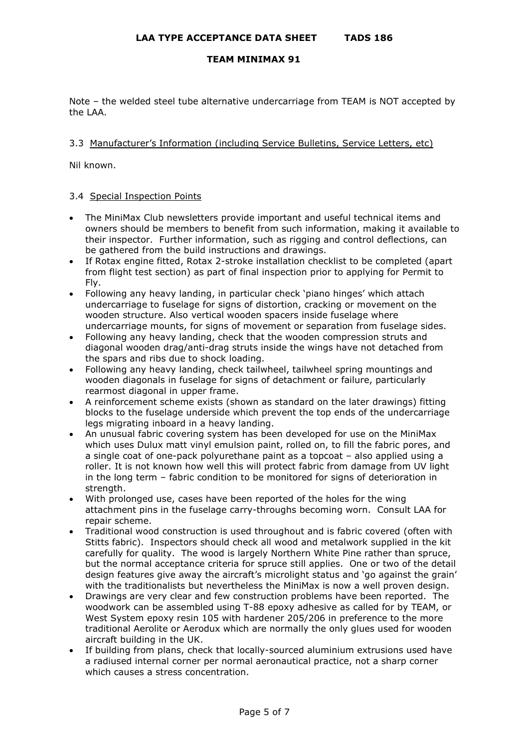Note – the welded steel tube alternative undercarriage from TEAM is NOT accepted by the LAA.

## 3.3 Manufacturer's Information (including Service Bulletins, Service Letters, etc)

Nil known.

### 3.4 Special Inspection Points

- The MiniMax Club newsletters provide important and useful technical items and owners should be members to benefit from such information, making it available to their inspector. Further information, such as rigging and control deflections, can be gathered from the build instructions and drawings.
- If Rotax engine fitted, Rotax 2-stroke installation checklist to be completed (apart from flight test section) as part of final inspection prior to applying for Permit to Fly.
- Following any heavy landing, in particular check 'piano hinges' which attach undercarriage to fuselage for signs of distortion, cracking or movement on the wooden structure. Also vertical wooden spacers inside fuselage where undercarriage mounts, for signs of movement or separation from fuselage sides.
- Following any heavy landing, check that the wooden compression struts and diagonal wooden drag/anti-drag struts inside the wings have not detached from the spars and ribs due to shock loading.
- Following any heavy landing, check tailwheel, tailwheel spring mountings and wooden diagonals in fuselage for signs of detachment or failure, particularly rearmost diagonal in upper frame.
- A reinforcement scheme exists (shown as standard on the later drawings) fitting blocks to the fuselage underside which prevent the top ends of the undercarriage legs migrating inboard in a heavy landing.
- An unusual fabric covering system has been developed for use on the MiniMax which uses Dulux matt vinyl emulsion paint, rolled on, to fill the fabric pores, and a single coat of one-pack polyurethane paint as a topcoat – also applied using a roller. It is not known how well this will protect fabric from damage from UV light in the long term – fabric condition to be monitored for signs of deterioration in strength.
- With prolonged use, cases have been reported of the holes for the wing attachment pins in the fuselage carry-throughs becoming worn. Consult LAA for repair scheme.
- Traditional wood construction is used throughout and is fabric covered (often with Stitts fabric). Inspectors should check all wood and metalwork supplied in the kit carefully for quality. The wood is largely Northern White Pine rather than spruce, but the normal acceptance criteria for spruce still applies. One or two of the detail design features give away the aircraft's microlight status and 'go against the grain' with the traditionalists but nevertheless the MiniMax is now a well proven design.
- Drawings are very clear and few construction problems have been reported. The woodwork can be assembled using T-88 epoxy adhesive as called for by TEAM, or West System epoxy resin 105 with hardener 205/206 in preference to the more traditional Aerolite or Aerodux which are normally the only glues used for wooden aircraft building in the UK.
- If building from plans, check that locally-sourced aluminium extrusions used have a radiused internal corner per normal aeronautical practice, not a sharp corner which causes a stress concentration.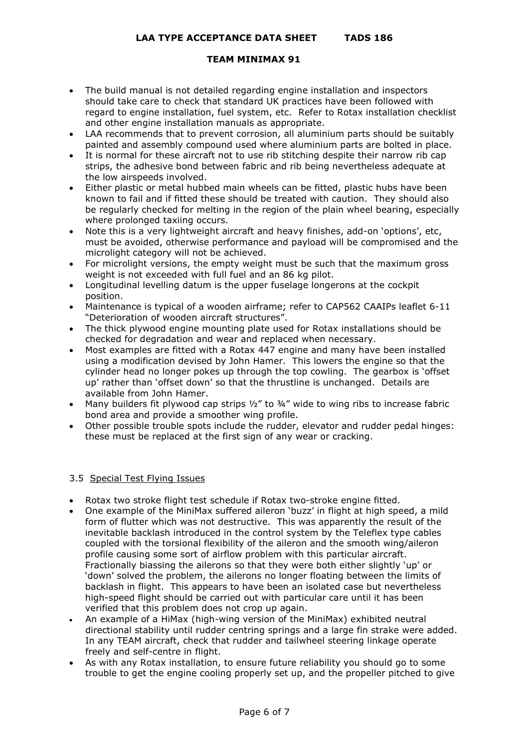- The build manual is not detailed regarding engine installation and inspectors should take care to check that standard UK practices have been followed with regard to engine installation, fuel system, etc. Refer to Rotax installation checklist and other engine installation manuals as appropriate.
- LAA recommends that to prevent corrosion, all aluminium parts should be suitably painted and assembly compound used where aluminium parts are bolted in place.
- It is normal for these aircraft not to use rib stitching despite their narrow rib cap strips, the adhesive bond between fabric and rib being nevertheless adequate at the low airspeeds involved.
- Either plastic or metal hubbed main wheels can be fitted, plastic hubs have been known to fail and if fitted these should be treated with caution. They should also be regularly checked for melting in the region of the plain wheel bearing, especially where prolonged taxiing occurs.
- Note this is a very lightweight aircraft and heavy finishes, add-on 'options', etc, must be avoided, otherwise performance and payload will be compromised and the microlight category will not be achieved.
- For microlight versions, the empty weight must be such that the maximum gross weight is not exceeded with full fuel and an 86 kg pilot.
- Longitudinal levelling datum is the upper fuselage longerons at the cockpit position.
- Maintenance is typical of a wooden airframe; refer to CAP562 CAAIPs leaflet 6-11 "Deterioration of wooden aircraft structures".
- The thick plywood engine mounting plate used for Rotax installations should be checked for degradation and wear and replaced when necessary.
- Most examples are fitted with a Rotax 447 engine and many have been installed using a modification devised by John Hamer. This lowers the engine so that the cylinder head no longer pokes up through the top cowling. The gearbox is 'offset up' rather than 'offset down' so that the thrustline is unchanged. Details are available from John Hamer.
- Many builders fit plywood cap strips  $\frac{1}{2}$ " to  $\frac{3}{4}$ " wide to wing ribs to increase fabric bond area and provide a smoother wing profile.
- Other possible trouble spots include the rudder, elevator and rudder pedal hinges: these must be replaced at the first sign of any wear or cracking.

# 3.5 Special Test Flying Issues

- Rotax two stroke flight test schedule if Rotax two-stroke engine fitted.
- One example of the MiniMax suffered aileron 'buzz' in flight at high speed, a mild form of flutter which was not destructive. This was apparently the result of the inevitable backlash introduced in the control system by the Teleflex type cables coupled with the torsional flexibility of the aileron and the smooth wing/aileron profile causing some sort of airflow problem with this particular aircraft. Fractionally biassing the ailerons so that they were both either slightly 'up' or 'down' solved the problem, the ailerons no longer floating between the limits of backlash in flight. This appears to have been an isolated case but nevertheless high-speed flight should be carried out with particular care until it has been verified that this problem does not crop up again.
- An example of a HiMax (high-wing version of the MiniMax) exhibited neutral directional stability until rudder centring springs and a large fin strake were added. In any TEAM aircraft, check that rudder and tailwheel steering linkage operate freely and self-centre in flight.
- As with any Rotax installation, to ensure future reliability you should go to some trouble to get the engine cooling properly set up, and the propeller pitched to give